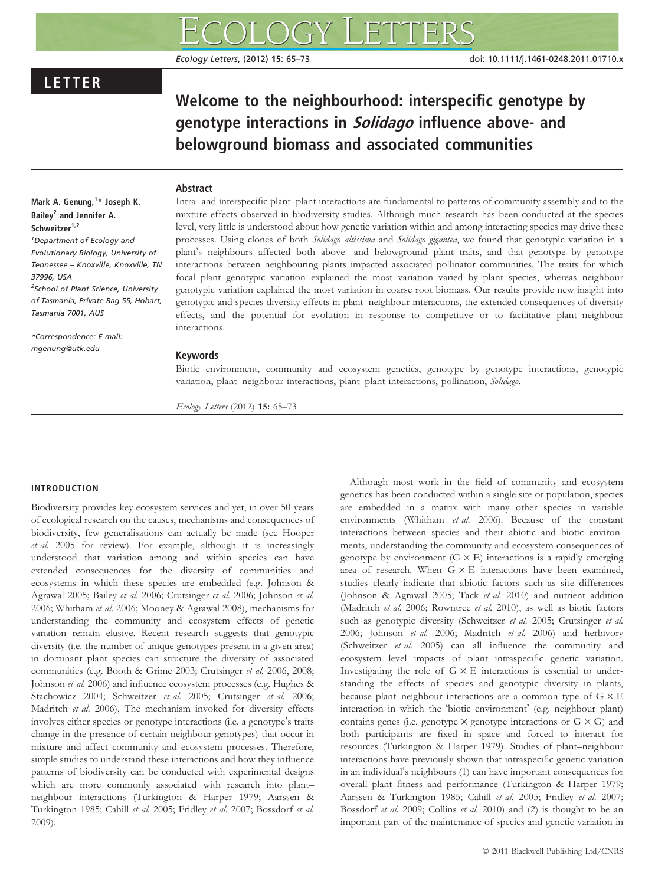# LETTER

# Welcome to the neighbourhood: interspecific genotype by genotype interactions in Solidago influence above- and belowground biomass and associated communities

# Abstract

# Mark A. Genung,<sup>1</sup>\* Joseph K. Bailey<sup>2</sup> and Jennifer A. Schweitzer<sup>1,2</sup>

1 Department of Ecology and Evolutionary Biology, University of Tennessee – Knoxville, Knoxville, TN 37996, USA <sup>2</sup>School of Plant Science, University of Tasmania, Private Bag 55, Hobart, Tasmania 7001, AUS

\*Correspondence: E-mail: mgenung@utk.edu

Intra- and interspecific plant–plant interactions are fundamental to patterns of community assembly and to the mixture effects observed in biodiversity studies. Although much research has been conducted at the species level, very little is understood about how genetic variation within and among interacting species may drive these processes. Using clones of both Solidago altissima and Solidago gigantea, we found that genotypic variation in a plant-s neighbours affected both above- and belowground plant traits, and that genotype by genotype interactions between neighbouring plants impacted associated pollinator communities. The traits for which focal plant genotypic variation explained the most variation varied by plant species, whereas neighbour genotypic variation explained the most variation in coarse root biomass. Our results provide new insight into genotypic and species diversity effects in plant–neighbour interactions, the extended consequences of diversity effects, and the potential for evolution in response to competitive or to facilitative plant–neighbour interactions.

#### Keywords

Biotic environment, community and ecosystem genetics, genotype by genotype interactions, genotypic variation, plant–neighbour interactions, plant–plant interactions, pollination, Solidago.

Ecology Letters (2012) 15: 65–73

# INTRODUCTION

Biodiversity provides key ecosystem services and yet, in over 50 years of ecological research on the causes, mechanisms and consequences of biodiversity, few generalisations can actually be made (see Hooper et al. 2005 for review). For example, although it is increasingly understood that variation among and within species can have extended consequences for the diversity of communities and ecosystems in which these species are embedded (e.g. Johnson & Agrawal 2005; Bailey et al. 2006; Crutsinger et al. 2006; Johnson et al. 2006; Whitham et al. 2006; Mooney & Agrawal 2008), mechanisms for understanding the community and ecosystem effects of genetic variation remain elusive. Recent research suggests that genotypic diversity (i.e. the number of unique genotypes present in a given area) in dominant plant species can structure the diversity of associated communities (e.g. Booth & Grime 2003; Crutsinger et al. 2006, 2008; Johnson et al. 2006) and influence ecosystem processes (e.g. Hughes & Stachowicz 2004; Schweitzer et al. 2005; Crutsinger et al. 2006; Madritch et al. 2006). The mechanism invoked for diversity effects involves either species or genotype interactions (i.e. a genotype's traits change in the presence of certain neighbour genotypes) that occur in mixture and affect community and ecosystem processes. Therefore, simple studies to understand these interactions and how they influence patterns of biodiversity can be conducted with experimental designs which are more commonly associated with research into plant– neighbour interactions (Turkington & Harper 1979; Aarssen & Turkington 1985; Cahill et al. 2005; Fridley et al. 2007; Bossdorf et al. 2009).

Although most work in the field of community and ecosystem genetics has been conducted within a single site or population, species are embedded in a matrix with many other species in variable environments (Whitham et al. 2006). Because of the constant interactions between species and their abiotic and biotic environments, understanding the community and ecosystem consequences of genotype by environment  $(G \times E)$  interactions is a rapidly emerging area of research. When  $G \times E$  interactions have been examined, studies clearly indicate that abiotic factors such as site differences (Johnson & Agrawal 2005; Tack et al. 2010) and nutrient addition (Madritch et al. 2006; Rowntree et al. 2010), as well as biotic factors such as genotypic diversity (Schweitzer et al. 2005; Crutsinger et al. 2006; Johnson et al. 2006; Madritch et al. 2006) and herbivory (Schweitzer et al. 2005) can all influence the community and ecosystem level impacts of plant intraspecific genetic variation. Investigating the role of  $G \times E$  interactions is essential to understanding the effects of species and genotypic diversity in plants, because plant–neighbour interactions are a common type of  $G \times E$ interaction in which the 'biotic environment' (e.g. neighbour plant) contains genes (i.e. genotype  $\times$  genotype interactions or  $G \times G$ ) and both participants are fixed in space and forced to interact for resources (Turkington & Harper 1979). Studies of plant–neighbour interactions have previously shown that intraspecific genetic variation in an individual's neighbours (1) can have important consequences for overall plant fitness and performance (Turkington & Harper 1979; Aarssen & Turkington 1985; Cahill et al. 2005; Fridley et al. 2007; Bossdorf et al. 2009; Collins et al. 2010) and (2) is thought to be an important part of the maintenance of species and genetic variation in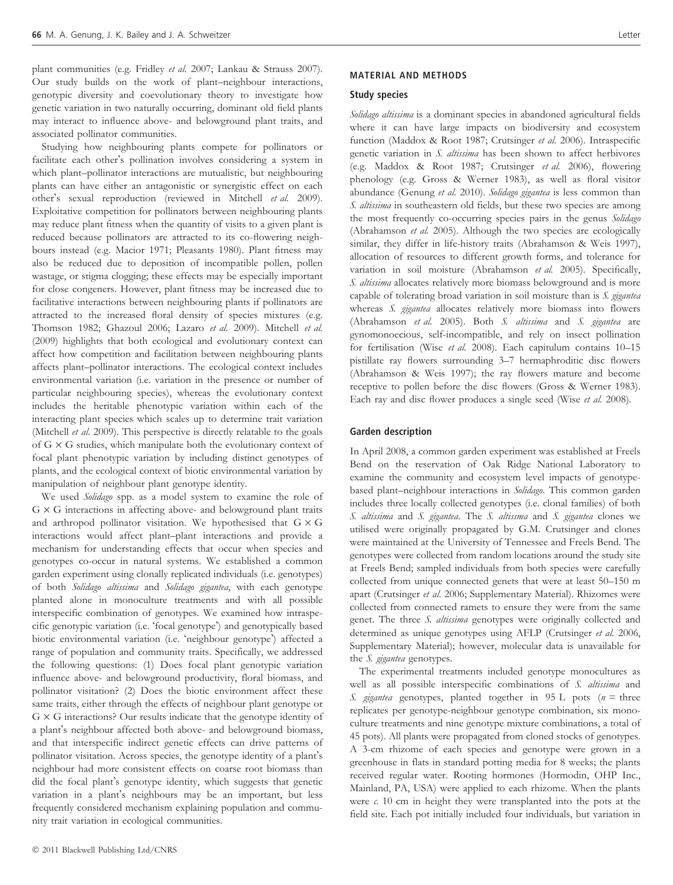plant communities (e.g. Fridley et al. 2007; Lankau & Strauss 2007). Our study builds on the work of plant–neighbour interactions, genotypic diversity and coevolutionary theory to investigate how genetic variation in two naturally occurring, dominant old field plants may interact to influence above- and belowground plant traits, and associated pollinator communities.

Studying how neighbouring plants compete for pollinators or facilitate each other's pollination involves considering a system in which plant–pollinator interactions are mutualistic, but neighbouring plants can have either an antagonistic or synergistic effect on each other's sexual reproduction (reviewed in Mitchell et al. 2009). Exploitative competition for pollinators between neighbouring plants may reduce plant fitness when the quantity of visits to a given plant is reduced because pollinators are attracted to its co-flowering neighbours instead (e.g. Macior 1971; Pleasants 1980). Plant fitness may also be reduced due to deposition of incompatible pollen, pollen wastage, or stigma clogging; these effects may be especially important for close congeners. However, plant fitness may be increased due to facilitative interactions between neighbouring plants if pollinators are attracted to the increased floral density of species mixtures (e.g. Thomson 1982; Ghazoul 2006; Lazaro et al. 2009). Mitchell et al. (2009) highlights that both ecological and evolutionary context can affect how competition and facilitation between neighbouring plants affects plant–pollinator interactions. The ecological context includes environmental variation (i.e. variation in the presence or number of particular neighbouring species), whereas the evolutionary context includes the heritable phenotypic variation within each of the interacting plant species which scales up to determine trait variation (Mitchell et al. 2009). This perspective is directly relatable to the goals of  $G \times G$  studies, which manipulate both the evolutionary context of focal plant phenotypic variation by including distinct genotypes of plants, and the ecological context of biotic environmental variation by manipulation of neighbour plant genotype identity.

We used Solidago spp. as a model system to examine the role of  $G \times G$  interactions in affecting above- and belowground plant traits and arthropod pollinator visitation. We hypothesised that  $G \times G$ interactions would affect plant–plant interactions and provide a mechanism for understanding effects that occur when species and genotypes co-occur in natural systems. We established a common garden experiment using clonally replicated individuals (i.e. genotypes) of both Solidago altissima and Solidago gigantea, with each genotype planted alone in monoculture treatments and with all possible interspecific combination of genotypes. We examined how intraspecific genotypic variation (i.e. 'focal genotype') and genotypically based biotic environmental variation (i.e. 'neighbour genotype') affected a range of population and community traits. Specifically, we addressed the following questions: (1) Does focal plant genotypic variation influence above- and belowground productivity, floral biomass, and pollinator visitation? (2) Does the biotic environment affect these same traits, either through the effects of neighbour plant genotype or  $G \times G$  interactions? Our results indicate that the genotype identity of a plant's neighbour affected both above- and belowground biomass, and that interspecific indirect genetic effects can drive patterns of pollinator visitation. Across species, the genotype identity of a plant's neighbour had more consistent effects on coarse root biomass than did the focal plant's genotype identity, which suggests that genetic variation in a plant's neighbours may be an important, but less frequently considered mechanism explaining population and community trait variation in ecological communities.

# MATERIAL AND METHODS

#### Study species

Solidago altissima is a dominant species in abandoned agricultural fields where it can have large impacts on biodiversity and ecosystem function (Maddox & Root 1987; Crutsinger et al. 2006). Intraspecific genetic variation in S. altissima has been shown to affect herbivores (e.g. Maddox & Root 1987; Crutsinger et al. 2006), flowering phenology (e.g. Gross & Werner 1983), as well as floral visitor abundance (Genung et al. 2010). Solidago gigantea is less common than S. altissima in southeastern old fields, but these two species are among the most frequently co-occurring species pairs in the genus Solidago (Abrahamson et al. 2005). Although the two species are ecologically similar, they differ in life-history traits (Abrahamson & Weis 1997), allocation of resources to different growth forms, and tolerance for variation in soil moisture (Abrahamson et al. 2005). Specifically, S. altissima allocates relatively more biomass belowground and is more capable of tolerating broad variation in soil moisture than is S. gigantea whereas S. gigantea allocates relatively more biomass into flowers (Abrahamson et al. 2005). Both S. altissima and S. gigantea are gynomonoecious, self-incompatible, and rely on insect pollination for fertilisation (Wise et al. 2008). Each capitulum contains 10–15 pistillate ray flowers surrounding 3–7 hermaphroditic disc flowers (Abrahamson & Weis 1997); the ray flowers mature and become receptive to pollen before the disc flowers (Gross & Werner 1983). Each ray and disc flower produces a single seed (Wise et al. 2008).

## Garden description

In April 2008, a common garden experiment was established at Freels Bend on the reservation of Oak Ridge National Laboratory to examine the community and ecosystem level impacts of genotypebased plant–neighbour interactions in Solidago. This common garden includes three locally collected genotypes (i.e. clonal families) of both S. altissima and S. gigantea. The S. altissma and S. gigantea clones we utilised were originally propagated by G.M. Crutsinger and clones were maintained at the University of Tennessee and Freels Bend. The genotypes were collected from random locations around the study site at Freels Bend; sampled individuals from both species were carefully collected from unique connected genets that were at least 50–150 m apart (Crutsinger et al. 2006; Supplementary Material). Rhizomes were collected from connected ramets to ensure they were from the same genet. The three S. altissima genotypes were originally collected and determined as unique genotypes using AFLP (Crutsinger et al. 2006, Supplementary Material); however, molecular data is unavailable for the S. gigantea genotypes.

The experimental treatments included genotype monocultures as well as all possible interspecific combinations of S. altissima and S. gigantea genotypes, planted together in 95 L pots ( $n =$  three replicates per genotype-neighbour genotype combination, six monoculture treatments and nine genotype mixture combinations, a total of 45 pots). All plants were propagated from cloned stocks of genotypes. A 3-cm rhizome of each species and genotype were grown in a greenhouse in flats in standard potting media for 8 weeks; the plants received regular water. Rooting hormones (Hormodin, OHP Inc., Mainland, PA, USA) were applied to each rhizome. When the plants were  $c$ . 10 cm in height they were transplanted into the pots at the field site. Each pot initially included four individuals, but variation in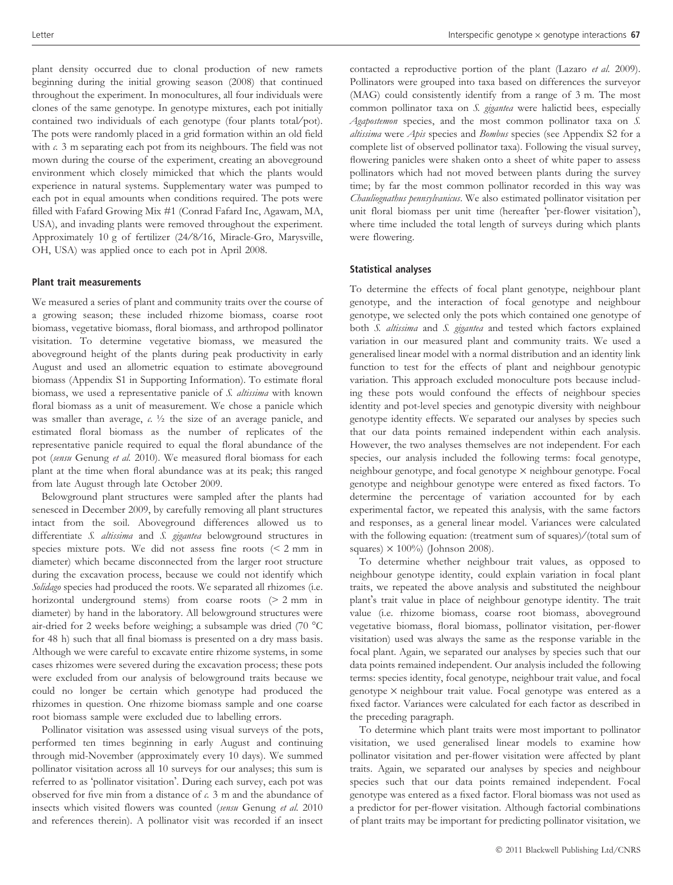plant density occurred due to clonal production of new ramets beginning during the initial growing season (2008) that continued throughout the experiment. In monocultures, all four individuals were clones of the same genotype. In genotype mixtures, each pot initially contained two individuals of each genotype (four plants total/pot). The pots were randomly placed in a grid formation within an old field with c. 3 m separating each pot from its neighbours. The field was not mown during the course of the experiment, creating an aboveground environment which closely mimicked that which the plants would experience in natural systems. Supplementary water was pumped to each pot in equal amounts when conditions required. The pots were filled with Fafard Growing Mix #1 (Conrad Fafard Inc, Agawam, MA, USA), and invading plants were removed throughout the experiment. Approximately 10 g of fertilizer (24/8/16, Miracle-Gro, Marysville, OH, USA) was applied once to each pot in April 2008.

# Plant trait measurements

We measured a series of plant and community traits over the course of a growing season; these included rhizome biomass, coarse root biomass, vegetative biomass, floral biomass, and arthropod pollinator visitation. To determine vegetative biomass, we measured the aboveground height of the plants during peak productivity in early August and used an allometric equation to estimate aboveground biomass (Appendix S1 in Supporting Information). To estimate floral biomass, we used a representative panicle of S. altissima with known floral biomass as a unit of measurement. We chose a panicle which was smaller than average, c.  $\frac{1}{2}$  the size of an average panicle, and estimated floral biomass as the number of replicates of the representative panicle required to equal the floral abundance of the pot (sensu Genung et al. 2010). We measured floral biomass for each plant at the time when floral abundance was at its peak; this ranged from late August through late October 2009.

Belowground plant structures were sampled after the plants had senesced in December 2009, by carefully removing all plant structures intact from the soil. Aboveground differences allowed us to differentiate S. altissima and S. gigantea belowground structures in species mixture pots. We did not assess fine roots (< 2 mm in diameter) which became disconnected from the larger root structure during the excavation process, because we could not identify which Solidago species had produced the roots. We separated all rhizomes (i.e. horizontal underground stems) from coarse roots (> 2 mm in diameter) by hand in the laboratory. All belowground structures were air-dried for 2 weeks before weighing; a subsample was dried (70 °C for 48 h) such that all final biomass is presented on a dry mass basis. Although we were careful to excavate entire rhizome systems, in some cases rhizomes were severed during the excavation process; these pots were excluded from our analysis of belowground traits because we could no longer be certain which genotype had produced the rhizomes in question. One rhizome biomass sample and one coarse root biomass sample were excluded due to labelling errors.

Pollinator visitation was assessed using visual surveys of the pots, performed ten times beginning in early August and continuing through mid-November (approximately every 10 days). We summed pollinator visitation across all 10 surveys for our analyses; this sum is referred to as 'pollinator visitation'. During each survey, each pot was observed for five min from a distance of  $c$ . 3 m and the abundance of insects which visited flowers was counted (sensu Genung et al. 2010 and references therein). A pollinator visit was recorded if an insect

contacted a reproductive portion of the plant (Lazaro et al. 2009). Pollinators were grouped into taxa based on differences the surveyor (MAG) could consistently identify from a range of 3 m. The most common pollinator taxa on S. gigantea were halictid bees, especially Agapostemon species, and the most common pollinator taxa on S. altissima were Apis species and Bombus species (see Appendix S2 for a complete list of observed pollinator taxa). Following the visual survey, flowering panicles were shaken onto a sheet of white paper to assess pollinators which had not moved between plants during the survey time; by far the most common pollinator recorded in this way was Chauliognathus pennsylvanicus. We also estimated pollinator visitation per unit floral biomass per unit time (hereafter 'per-flower visitation'), where time included the total length of surveys during which plants were flowering.

#### Statistical analyses

To determine the effects of focal plant genotype, neighbour plant genotype, and the interaction of focal genotype and neighbour genotype, we selected only the pots which contained one genotype of both S. altissima and S. gigantea and tested which factors explained variation in our measured plant and community traits. We used a generalised linear model with a normal distribution and an identity link function to test for the effects of plant and neighbour genotypic variation. This approach excluded monoculture pots because including these pots would confound the effects of neighbour species identity and pot-level species and genotypic diversity with neighbour genotype identity effects. We separated our analyses by species such that our data points remained independent within each analysis. However, the two analyses themselves are not independent. For each species, our analysis included the following terms: focal genotype, neighbour genotype, and focal genotype  $\times$  neighbour genotype. Focal genotype and neighbour genotype were entered as fixed factors. To determine the percentage of variation accounted for by each experimental factor, we repeated this analysis, with the same factors and responses, as a general linear model. Variances were calculated with the following equation: (treatment sum of squares)/(total sum of squares)  $\times$  100%) (Johnson 2008).

To determine whether neighbour trait values, as opposed to neighbour genotype identity, could explain variation in focal plant traits, we repeated the above analysis and substituted the neighbour plant's trait value in place of neighbour genotype identity. The trait value (i.e. rhizome biomass, coarse root biomass, aboveground vegetative biomass, floral biomass, pollinator visitation, per-flower visitation) used was always the same as the response variable in the focal plant. Again, we separated our analyses by species such that our data points remained independent. Our analysis included the following terms: species identity, focal genotype, neighbour trait value, and focal genotype × neighbour trait value. Focal genotype was entered as a fixed factor. Variances were calculated for each factor as described in the preceding paragraph.

To determine which plant traits were most important to pollinator visitation, we used generalised linear models to examine how pollinator visitation and per-flower visitation were affected by plant traits. Again, we separated our analyses by species and neighbour species such that our data points remained independent. Focal genotype was entered as a fixed factor. Floral biomass was not used as a predictor for per-flower visitation. Although factorial combinations of plant traits may be important for predicting pollinator visitation, we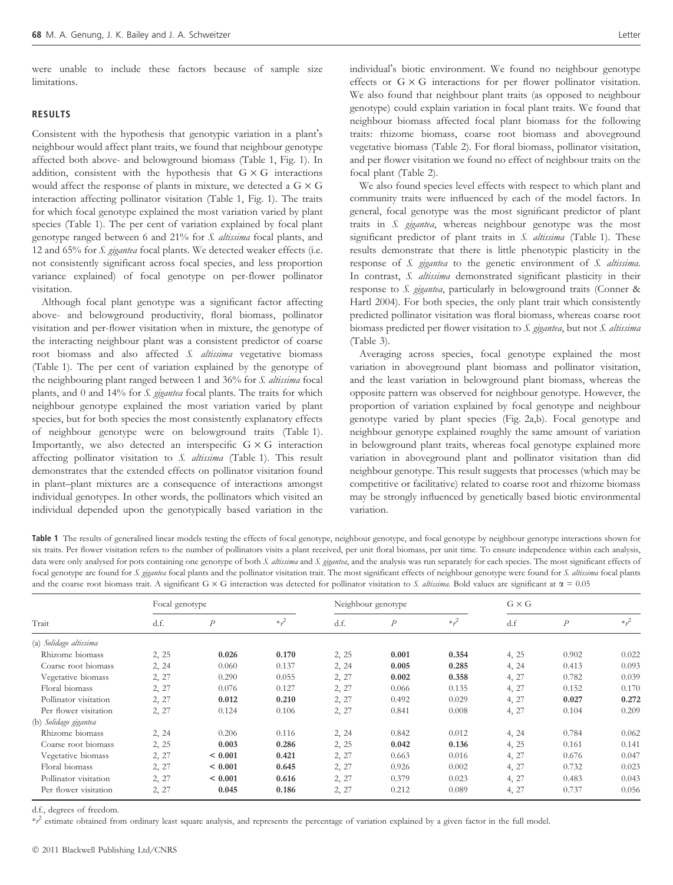were unable to include these factors because of sample size limitations.

# RESULTS

Consistent with the hypothesis that genotypic variation in a plant's neighbour would affect plant traits, we found that neighbour genotype affected both above- and belowground biomass (Table 1, Fig. 1). In addition, consistent with the hypothesis that  $G \times G$  interactions would affect the response of plants in mixture, we detected a  $G \times G$ interaction affecting pollinator visitation (Table 1, Fig. 1). The traits for which focal genotype explained the most variation varied by plant species (Table 1). The per cent of variation explained by focal plant genotype ranged between 6 and 21% for S. altissima focal plants, and 12 and 65% for S. gigantea focal plants. We detected weaker effects (i.e. not consistently significant across focal species, and less proportion variance explained) of focal genotype on per-flower pollinator visitation.

Although focal plant genotype was a significant factor affecting above- and belowground productivity, floral biomass, pollinator visitation and per-flower visitation when in mixture, the genotype of the interacting neighbour plant was a consistent predictor of coarse root biomass and also affected S. altissima vegetative biomass (Table 1). The per cent of variation explained by the genotype of the neighbouring plant ranged between 1 and 36% for S. altissima focal plants, and 0 and 14% for S. gigantea focal plants. The traits for which neighbour genotype explained the most variation varied by plant species, but for both species the most consistently explanatory effects of neighbour genotype were on belowground traits (Table 1). Importantly, we also detected an interspecific  $G \times G$  interaction affecting pollinator visitation to S. altissima (Table 1). This result demonstrates that the extended effects on pollinator visitation found in plant–plant mixtures are a consequence of interactions amongst individual genotypes. In other words, the pollinators which visited an individual depended upon the genotypically based variation in the

individual's biotic environment. We found no neighbour genotype effects or  $G \times G$  interactions for per flower pollinator visitation. We also found that neighbour plant traits (as opposed to neighbour genotype) could explain variation in focal plant traits. We found that neighbour biomass affected focal plant biomass for the following traits: rhizome biomass, coarse root biomass and aboveground vegetative biomass (Table 2). For floral biomass, pollinator visitation, and per flower visitation we found no effect of neighbour traits on the focal plant (Table 2).

We also found species level effects with respect to which plant and community traits were influenced by each of the model factors. In general, focal genotype was the most significant predictor of plant traits in S. gigantea, whereas neighbour genotype was the most significant predictor of plant traits in S. altissima (Table 1). These results demonstrate that there is little phenotypic plasticity in the response of S. gigantea to the genetic environment of S. altissima. In contrast, S. altissima demonstrated significant plasticity in their response to S. gigantea, particularly in belowground traits (Conner & Hartl 2004). For both species, the only plant trait which consistently predicted pollinator visitation was floral biomass, whereas coarse root biomass predicted per flower visitation to S. gigantea, but not S. altissima (Table 3).

Averaging across species, focal genotype explained the most variation in aboveground plant biomass and pollinator visitation, and the least variation in belowground plant biomass, whereas the opposite pattern was observed for neighbour genotype. However, the proportion of variation explained by focal genotype and neighbour genotype varied by plant species (Fig. 2a,b). Focal genotype and neighbour genotype explained roughly the same amount of variation in belowground plant traits, whereas focal genotype explained more variation in aboveground plant and pollinator visitation than did neighbour genotype. This result suggests that processes (which may be competitive or facilitative) related to coarse root and rhizome biomass may be strongly influenced by genetically based biotic environmental variation.

Table 1 The results of generalised linear models testing the effects of focal genotype, neighbour genotype, and focal genotype by neighbour genotype interactions shown for six traits. Per flower visitation refers to the number of pollinators visits a plant received, per unit floral biomass, per unit time. To ensure independence within each analysis, data were only analysed for pots containing one genotype of both S. altissima and S. gigantea, and the analysis was run separately for each species. The most significant effects of focal genotype are found for S. gigantea focal plants and the pollinator visitation trait. The most significant effects of neighbour genotype were found for S. altissima focal plants and the coarse root biomass trait. A significant G × G interaction was detected for pollinator visitation to S. altissima. Bold values are significant at  $\alpha = 0.05$ 

| Trait                  | Focal genotype |                |         | Neighbour genotype |                  |         | $G \times G$ |                |             |
|------------------------|----------------|----------------|---------|--------------------|------------------|---------|--------------|----------------|-------------|
|                        | d.f.           | $\overline{P}$ | $*_2^2$ | d.f.               | $\boldsymbol{P}$ | $*_7^2$ | df           | $\overline{P}$ | $*_{r}^{2}$ |
| (a) Solidago altissima |                |                |         |                    |                  |         |              |                |             |
| Rhizome biomass        | 2, 25          | 0.026          | 0.170   | 2, 25              | 0.001            | 0.354   | 4, 25        | 0.902          | 0.022       |
| Coarse root biomass    | 2, 24          | 0.060          | 0.137   | 2, 24              | 0.005            | 0.285   | 4, 24        | 0.413          | 0.093       |
| Vegetative biomass     | 2, 27          | 0.290          | 0.055   | 2, 27              | 0.002            | 0.358   | 4, 27        | 0.782          | 0.039       |
| Floral biomass         | 2, 27          | 0.076          | 0.127   | 2, 27              | 0.066            | 0.135   | 4, 27        | 0.152          | 0.170       |
| Pollinator visitation  | 2, 27          | 0.012          | 0.210   | 2, 27              | 0.492            | 0.029   | 4, 27        | 0.027          | 0.272       |
| Per flower visitation  | 2, 27          | 0.124          | 0.106   | 2, 27              | 0.841            | 0.008   | 4, 27        | 0.104          | 0.209       |
| (b) Solidago gigantea  |                |                |         |                    |                  |         |              |                |             |
| Rhizome biomass        | 2, 24          | 0.206          | 0.116   | 2, 24              | 0.842            | 0.012   | 4, 24        | 0.784          | 0.062       |
| Coarse root biomass    | 2, 25          | 0.003          | 0.286   | 2, 25              | 0.042            | 0.136   | 4, 25        | 0.161          | 0.141       |
| Vegetative biomass     | 2, 27          | ${}< 0.001$    | 0.421   | 2, 27              | 0.663            | 0.016   | 4, 27        | 0.676          | 0.047       |
| Floral biomass         | 2, 27          | ${}< 0.001$    | 0.645   | 2, 27              | 0.926            | 0.002   | 4, 27        | 0.732          | 0.023       |
| Pollinator visitation  | 2, 27          | ${}< 0.001$    | 0.616   | 2, 27              | 0.379            | 0.023   | 4, 27        | 0.483          | 0.043       |
| Per flower visitation  | 2, 27          | 0.045          | 0.186   | 2, 27              | 0.212            | 0.089   | 4, 27        | 0.737          | 0.056       |

d.f., degrees of freedom.

 $*r^2$  estimate obtained from ordinary least square analysis, and represents the percentage of variation explained by a given factor in the full model.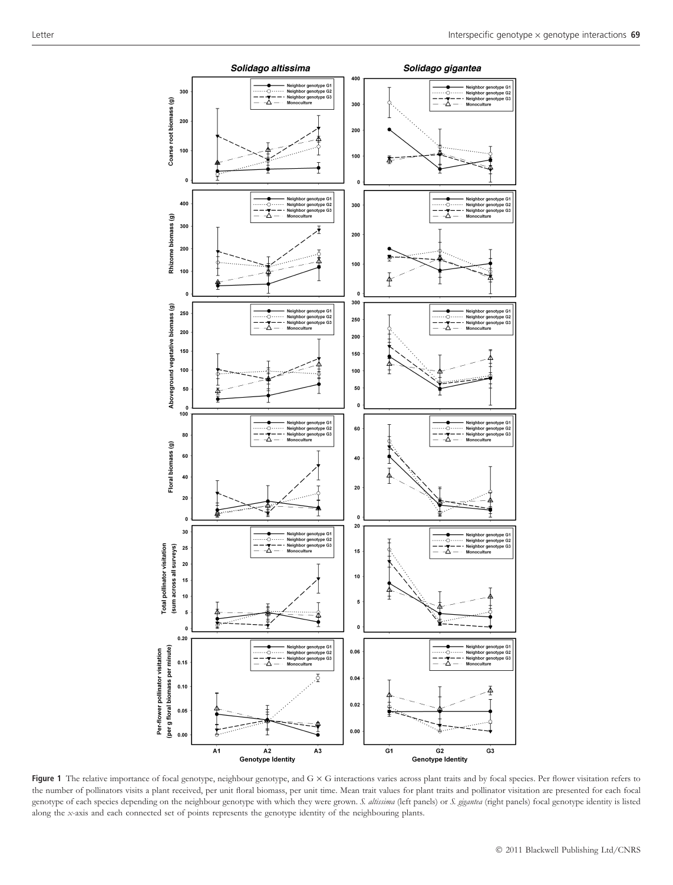

Figure 1 The relative importance of focal genotype, neighbour genotype, and G × G interactions varies across plant traits and by focal species. Per flower visitation refers to the number of pollinators visits a plant received, per unit floral biomass, per unit time. Mean trait values for plant traits and pollinator visitation are presented for each focal genotype of each species depending on the neighbour genotype with which they were grown. S. altissima (left panels) or S. gigantea (right panels) focal genotype identity is listed along the x-axis and each connected set of points represents the genotype identity of the neighbouring plants.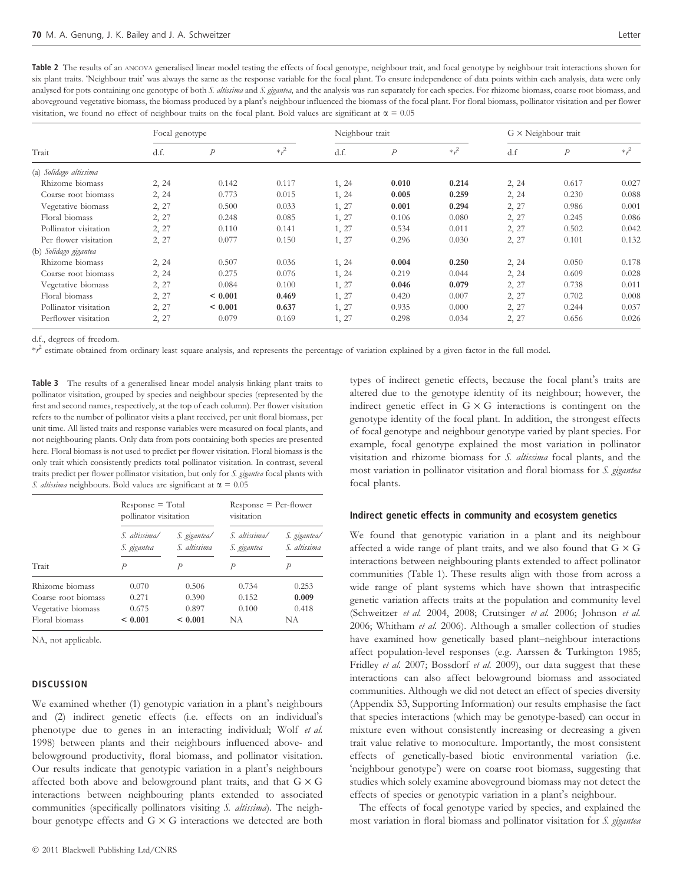Table 2 The results of an ANCOVA generalised linear model testing the effects of focal genotype, neighbour trait, and focal genotype by neighbour trait interactions shown for six plant traits. 'Neighbour trait' was always the same as the response variable for the focal plant. To ensure independence of data points within each analysis, data were only analysed for pots containing one genotype of both S. altissima and S. gigantea, and the analysis was run separately for each species. For rhizome biomass, coarse root biomass, and aboveground vegetative biomass, the biomass produced by a plant's neighbour influenced the biomass of the focal plant. For floral biomass, pollinator visitation and per flower visitation, we found no effect of neighbour traits on the focal plant. Bold values are significant at  $\alpha = 0.05$ 

| Trait                  | Focal genotype |             |             | Neighbour trait |                |             | $G \times$ Neighbour trait |                |             |
|------------------------|----------------|-------------|-------------|-----------------|----------------|-------------|----------------------------|----------------|-------------|
|                        | d.f.           | Р           | $*_{r}^{2}$ | d.f.            | $\overline{P}$ | $*_{r}^{2}$ | df                         | $\overline{P}$ | $*_{r}^{2}$ |
| (a) Solidago altissima |                |             |             |                 |                |             |                            |                |             |
| Rhizome biomass        | 2, 24          | 0.142       | 0.117       | 1, 24           | 0.010          | 0.214       | 2, 24                      | 0.617          | 0.027       |
| Coarse root biomass    | 2, 24          | 0.773       | 0.015       | 1, 24           | 0.005          | 0.259       | 2, 24                      | 0.230          | 0.088       |
| Vegetative biomass     | 2, 27          | 0.500       | 0.033       | 1, 27           | 0.001          | 0.294       | 2, 27                      | 0.986          | 0.001       |
| Floral biomass         | 2, 27          | 0.248       | 0.085       | 1, 27           | 0.106          | 0.080       | 2, 27                      | 0.245          | 0.086       |
| Pollinator visitation  | 2, 27          | 0.110       | 0.141       | 1, 27           | 0.534          | 0.011       | 2, 27                      | 0.502          | 0.042       |
| Per flower visitation  | 2, 27          | 0.077       | 0.150       | 1, 27           | 0.296          | 0.030       | 2, 27                      | 0.101          | 0.132       |
| (b) Solidago gigantea  |                |             |             |                 |                |             |                            |                |             |
| Rhizome biomass        | 2, 24          | 0.507       | 0.036       | 1, 24           | 0.004          | 0.250       | 2, 24                      | 0.050          | 0.178       |
| Coarse root biomass    | 2, 24          | 0.275       | 0.076       | 1, 24           | 0.219          | 0.044       | 2, 24                      | 0.609          | 0.028       |
| Vegetative biomass     | 2, 27          | 0.084       | 0.100       | 1, 27           | 0.046          | 0.079       | 2, 27                      | 0.738          | 0.011       |
| Floral biomass         | 2, 27          | ${}< 0.001$ | 0.469       | 1, 27           | 0.420          | 0.007       | 2, 27                      | 0.702          | 0.008       |
| Pollinator visitation  | 2, 27          | ${}< 0.001$ | 0.637       | 1, 27           | 0.935          | 0.000       | 2, 27                      | 0.244          | 0.037       |
| Perflower visitation   | 2, 27          | 0.079       | 0.169       | 1, 27           | 0.298          | 0.034       | 2, 27                      | 0.656          | 0.026       |

d.f., degrees of freedom.

 $*r^2$  estimate obtained from ordinary least square analysis, and represents the percentage of variation explained by a given factor in the full model.

Table 3 The results of a generalised linear model analysis linking plant traits to pollinator visitation, grouped by species and neighbour species (represented by the first and second names, respectively, at the top of each column). Per flower visitation refers to the number of pollinator visits a plant received, per unit floral biomass, per unit time. All listed traits and response variables were measured on focal plants, and not neighbouring plants. Only data from pots containing both species are presented here. Floral biomass is not used to predict per flower visitation. Floral biomass is the only trait which consistently predicts total pollinator visitation. In contrast, several traits predict per flower pollinator visitation, but only for S. gigantea focal plants with S. altissima neighbours. Bold values are significant at  $\alpha = 0.05$ 

|                     | $Respose = Total$<br>pollinator visitation |                              | $ResPer-flower$<br>visitation |                              |  |
|---------------------|--------------------------------------------|------------------------------|-------------------------------|------------------------------|--|
|                     | S. altissima/<br>S. gigantea               | S. gigantea/<br>S. altissima | S. altissima/<br>S. gigantea  | S. gigantea/<br>S. altissima |  |
| Trait               | P                                          | P                            | P                             | P                            |  |
| Rhizome biomass     | 0.070                                      | 0.506                        | 0.734                         | 0.253                        |  |
| Coarse root biomass | 0.271                                      | 0.390                        | 0.152                         | 0.009                        |  |
| Vegetative biomass  | 0.675                                      | 0.897                        | 0.100                         | 0.418                        |  |
| Floral biomass      | < 0.001                                    | < 0.001                      | NA                            | NA                           |  |

NA, not applicable.

#### DISCUSSION

We examined whether (1) genotypic variation in a plant's neighbours and (2) indirect genetic effects (i.e. effects on an individual's phenotype due to genes in an interacting individual; Wolf et al. 1998) between plants and their neighbours influenced above- and belowground productivity, floral biomass, and pollinator visitation. Our results indicate that genotypic variation in a plant's neighbours affected both above and belowground plant traits, and that  $G \times G$ interactions between neighbouring plants extended to associated communities (specifically pollinators visiting S. altissima). The neighbour genotype effects and  $G \times G$  interactions we detected are both

types of indirect genetic effects, because the focal plant's traits are altered due to the genotype identity of its neighbour; however, the indirect genetic effect in  $G \times G$  interactions is contingent on the genotype identity of the focal plant. In addition, the strongest effects of focal genotype and neighbour genotype varied by plant species. For example, focal genotype explained the most variation in pollinator visitation and rhizome biomass for S. altissima focal plants, and the most variation in pollinator visitation and floral biomass for S. gigantea focal plants.

### Indirect genetic effects in community and ecosystem genetics

We found that genotypic variation in a plant and its neighbour affected a wide range of plant traits, and we also found that  $G \times G$ interactions between neighbouring plants extended to affect pollinator communities (Table 1). These results align with those from across a wide range of plant systems which have shown that intraspecific genetic variation affects traits at the population and community level (Schweitzer et al. 2004, 2008; Crutsinger et al. 2006; Johnson et al. 2006; Whitham et al. 2006). Although a smaller collection of studies have examined how genetically based plant–neighbour interactions affect population-level responses (e.g. Aarssen & Turkington 1985; Fridley et al. 2007; Bossdorf et al. 2009), our data suggest that these interactions can also affect belowground biomass and associated communities. Although we did not detect an effect of species diversity (Appendix S3, Supporting Information) our results emphasise the fact that species interactions (which may be genotype-based) can occur in mixture even without consistently increasing or decreasing a given trait value relative to monoculture. Importantly, the most consistent effects of genetically-based biotic environmental variation (i.e. 'neighbour genotype') were on coarse root biomass, suggesting that studies which solely examine aboveground biomass may not detect the effects of species or genotypic variation in a plant's neighbour.

The effects of focal genotype varied by species, and explained the most variation in floral biomass and pollinator visitation for S. gigantea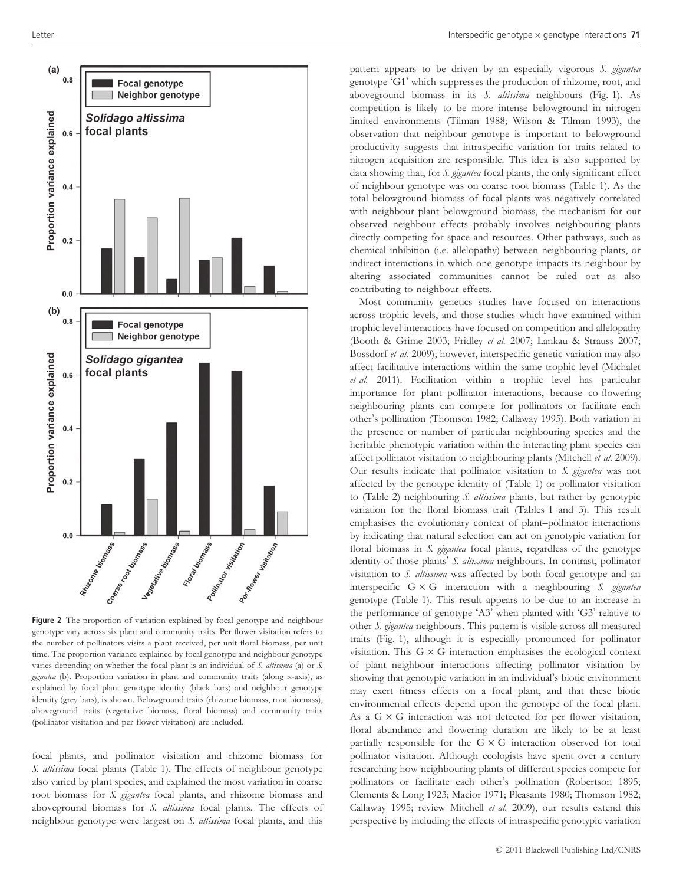

Figure 2 The proportion of variation explained by focal genotype and neighbour genotype vary across six plant and community traits. Per flower visitation refers to the number of pollinators visits a plant received, per unit floral biomass, per unit time. The proportion variance explained by focal genotype and neighbour genotype varies depending on whether the focal plant is an individual of S. altissima (a) or S. gigantea (b). Proportion variation in plant and community traits (along x-axis), as explained by focal plant genotype identity (black bars) and neighbour genotype identity (grey bars), is shown. Belowground traits (rhizome biomass, root biomass), aboveground traits (vegetative biomass, floral biomass) and community traits (pollinator visitation and per flower visitation) are included.

focal plants, and pollinator visitation and rhizome biomass for S. *altissima* focal plants (Table 1). The effects of neighbour genotype also varied by plant species, and explained the most variation in coarse root biomass for S. gigantea focal plants, and rhizome biomass and aboveground biomass for S. altissima focal plants. The effects of neighbour genotype were largest on S. altissima focal plants, and this

pattern appears to be driven by an especially vigorous S. giganted genotype 'G1' which suppresses the production of rhizome, root, and aboveground biomass in its S. altissima neighbours (Fig. 1). As competition is likely to be more intense belowground in nitrogen limited environments (Tilman 1988; Wilson & Tilman 1993), the observation that neighbour genotype is important to belowground productivity suggests that intraspecific variation for traits related to nitrogen acquisition are responsible. This idea is also supported by data showing that, for S. gigantea focal plants, the only significant effect of neighbour genotype was on coarse root biomass (Table 1). As the total belowground biomass of focal plants was negatively correlated with neighbour plant belowground biomass, the mechanism for our observed neighbour effects probably involves neighbouring plants directly competing for space and resources. Other pathways, such as chemical inhibition (i.e. allelopathy) between neighbouring plants, or indirect interactions in which one genotype impacts its neighbour by altering associated communities cannot be ruled out as also contributing to neighbour effects.

Most community genetics studies have focused on interactions across trophic levels, and those studies which have examined within trophic level interactions have focused on competition and allelopathy (Booth & Grime 2003; Fridley et al. 2007; Lankau & Strauss 2007; Bossdorf et al. 2009); however, interspecific genetic variation may also affect facilitative interactions within the same trophic level (Michalet et al. 2011). Facilitation within a trophic level has particular importance for plant–pollinator interactions, because co-flowering neighbouring plants can compete for pollinators or facilitate each other's pollination (Thomson 1982; Callaway 1995). Both variation in the presence or number of particular neighbouring species and the heritable phenotypic variation within the interacting plant species can affect pollinator visitation to neighbouring plants (Mitchell et al. 2009). Our results indicate that pollinator visitation to S. gigantea was not affected by the genotype identity of (Table 1) or pollinator visitation to (Table 2) neighbouring S. altissima plants, but rather by genotypic variation for the floral biomass trait (Tables 1 and 3). This result emphasises the evolutionary context of plant–pollinator interactions by indicating that natural selection can act on genotypic variation for floral biomass in S. gigantea focal plants, regardless of the genotype identity of those plants' S. altissima neighbours. In contrast, pollinator visitation to S. altissima was affected by both focal genotype and an interspecific  $G \times G$  interaction with a neighbouring S. giganted genotype (Table 1). This result appears to be due to an increase in the performance of genotype 'A3' when planted with 'G3' relative to other S. gigantea neighbours. This pattern is visible across all measured traits (Fig. 1), although it is especially pronounced for pollinator visitation. This  $G \times G$  interaction emphasises the ecological context of plant–neighbour interactions affecting pollinator visitation by showing that genotypic variation in an individual's biotic environment may exert fitness effects on a focal plant, and that these biotic environmental effects depend upon the genotype of the focal plant. As a  $G \times G$  interaction was not detected for per flower visitation, floral abundance and flowering duration are likely to be at least partially responsible for the  $G \times G$  interaction observed for total pollinator visitation. Although ecologists have spent over a century researching how neighbouring plants of different species compete for pollinators or facilitate each other's pollination (Robertson 1895; Clements & Long 1923; Macior 1971; Pleasants 1980; Thomson 1982; Callaway 1995; review Mitchell et al. 2009), our results extend this perspective by including the effects of intraspecific genotypic variation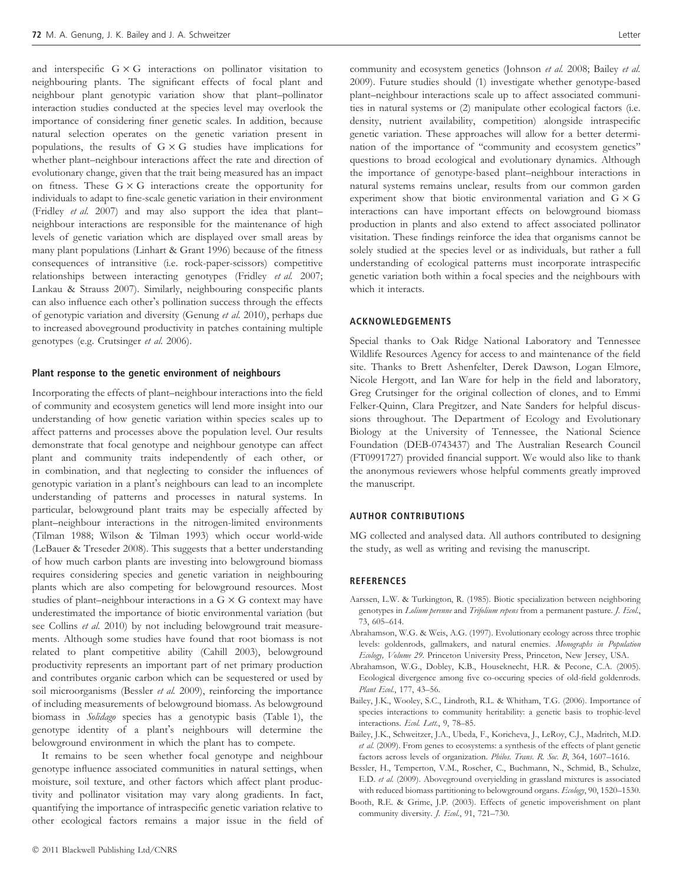and interspecific  $G \times G$  interactions on pollinator visitation to neighbouring plants. The significant effects of focal plant and neighbour plant genotypic variation show that plant–pollinator interaction studies conducted at the species level may overlook the importance of considering finer genetic scales. In addition, because natural selection operates on the genetic variation present in populations, the results of  $G \times G$  studies have implications for whether plant–neighbour interactions affect the rate and direction of evolutionary change, given that the trait being measured has an impact on fitness. These  $G \times G$  interactions create the opportunity for individuals to adapt to fine-scale genetic variation in their environment (Fridley et al. 2007) and may also support the idea that plant– neighbour interactions are responsible for the maintenance of high levels of genetic variation which are displayed over small areas by many plant populations (Linhart & Grant 1996) because of the fitness consequences of intransitive (i.e. rock-paper-scissors) competitive relationships between interacting genotypes (Fridley et al. 2007; Lankau & Strauss 2007). Similarly, neighbouring conspecific plants can also influence each other's pollination success through the effects of genotypic variation and diversity (Genung et al. 2010), perhaps due to increased aboveground productivity in patches containing multiple genotypes (e.g. Crutsinger et al. 2006).

#### Plant response to the genetic environment of neighbours

Incorporating the effects of plant–neighbour interactions into the field of community and ecosystem genetics will lend more insight into our understanding of how genetic variation within species scales up to affect patterns and processes above the population level. Our results demonstrate that focal genotype and neighbour genotype can affect plant and community traits independently of each other, or in combination, and that neglecting to consider the influences of genotypic variation in a plant's neighbours can lead to an incomplete understanding of patterns and processes in natural systems. In particular, belowground plant traits may be especially affected by plant–neighbour interactions in the nitrogen-limited environments (Tilman 1988; Wilson & Tilman 1993) which occur world-wide (LeBauer & Treseder 2008). This suggests that a better understanding of how much carbon plants are investing into belowground biomass requires considering species and genetic variation in neighbouring plants which are also competing for belowground resources. Most studies of plant–neighbour interactions in a  $G \times G$  context may have underestimated the importance of biotic environmental variation (but see Collins et al. 2010) by not including belowground trait measurements. Although some studies have found that root biomass is not related to plant competitive ability (Cahill 2003), belowground productivity represents an important part of net primary production and contributes organic carbon which can be sequestered or used by soil microorganisms (Bessler et al. 2009), reinforcing the importance of including measurements of belowground biomass. As belowground biomass in Solidago species has a genotypic basis (Table 1), the genotype identity of a plant-s neighbours will determine the belowground environment in which the plant has to compete.

It remains to be seen whether focal genotype and neighbour genotype influence associated communities in natural settings, when moisture, soil texture, and other factors which affect plant productivity and pollinator visitation may vary along gradients. In fact, quantifying the importance of intraspecific genetic variation relative to other ecological factors remains a major issue in the field of community and ecosystem genetics (Johnson et al. 2008; Bailey et al. 2009). Future studies should (1) investigate whether genotype-based plant–neighbour interactions scale up to affect associated communities in natural systems or (2) manipulate other ecological factors (i.e. density, nutrient availability, competition) alongside intraspecific genetic variation. These approaches will allow for a better determination of the importance of ''community and ecosystem genetics'' questions to broad ecological and evolutionary dynamics. Although the importance of genotype-based plant–neighbour interactions in natural systems remains unclear, results from our common garden experiment show that biotic environmental variation and  $G \times G$ interactions can have important effects on belowground biomass production in plants and also extend to affect associated pollinator visitation. These findings reinforce the idea that organisms cannot be solely studied at the species level or as individuals, but rather a full understanding of ecological patterns must incorporate intraspecific genetic variation both within a focal species and the neighbours with which it interacts.

#### ACKNOWLEDGEMENTS

Special thanks to Oak Ridge National Laboratory and Tennessee Wildlife Resources Agency for access to and maintenance of the field site. Thanks to Brett Ashenfelter, Derek Dawson, Logan Elmore, Nicole Hergott, and Ian Ware for help in the field and laboratory, Greg Crutsinger for the original collection of clones, and to Emmi Felker-Quinn, Clara Pregitzer, and Nate Sanders for helpful discussions throughout. The Department of Ecology and Evolutionary Biology at the University of Tennessee, the National Science Foundation (DEB-0743437) and The Australian Research Council (FT0991727) provided financial support. We would also like to thank the anonymous reviewers whose helpful comments greatly improved the manuscript.

# AUTHOR CONTRIBUTIONS

MG collected and analysed data. All authors contributed to designing the study, as well as writing and revising the manuscript.

# **REFERENCES**

- Aarssen, L.W. & Turkington, R. (1985). Biotic specialization between neighboring genotypes in Lolium perenne and Trifolium repens from a permanent pasture. J. Ecol., 73, 605–614.
- Abrahamson, W.G. & Weis, A.G. (1997). Evolutionary ecology across three trophic levels: goldenrods, gallmakers, and natural enemies. Monographs in Population Ecology, Volume 29. Princeton University Press, Princeton, New Jersey, USA.
- Abrahamson, W.G., Dobley, K.B., Houseknecht, H.R. & Pecone, C.A. (2005). Ecological divergence among five co-occuring species of old-field goldenrods. Plant Ecol., 177, 43–56.
- Bailey, J.K., Wooley, S.C., Lindroth, R.L. & Whitham, T.G. (2006). Importance of species interactions to community heritability: a genetic basis to trophic-level interactions. Ecol. Lett., 9, 78–85.
- Bailey, J.K., Schweitzer, J.A., Ubeda, F., Koricheva, J., LeRoy, C.J., Madritch, M.D. et al. (2009). From genes to ecosystems: a synthesis of the effects of plant genetic factors across levels of organization. Philos. Trans. R. Soc. B, 364, 1607–1616.
- Bessler, H., Temperton, V.M., Roscher, C., Buchmann, N., Schmid, B., Schulze, E.D. et al. (2009). Aboveground overyielding in grassland mixtures is associated with reduced biomass partitioning to belowground organs. Ecology, 90, 1520–1530.
- Booth, R.E. & Grime, J.P. (2003). Effects of genetic impoverishment on plant community diversity. *J. Ecol.*, 91, 721-730.